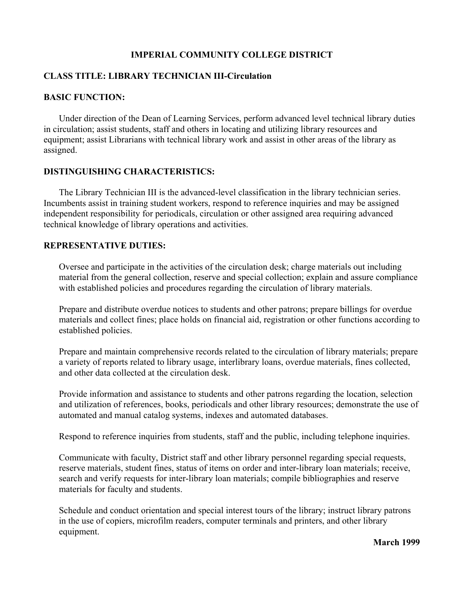## **IMPERIAL COMMUNITY COLLEGE DISTRICT**

## **CLASS TITLE: LIBRARY TECHNICIAN III-Circulation**

#### **BASIC FUNCTION:**

Under direction of the Dean of Learning Services, perform advanced level technical library duties in circulation; assist students, staff and others in locating and utilizing library resources and equipment; assist Librarians with technical library work and assist in other areas of the library as assigned.

#### **DISTINGUISHING CHARACTERISTICS:**

The Library Technician III is the advanced-level classification in the library technician series. Incumbents assist in training student workers, respond to reference inquiries and may be assigned independent responsibility for periodicals, circulation or other assigned area requiring advanced technical knowledge of library operations and activities.

### **REPRESENTATIVE DUTIES:**

Oversee and participate in the activities of the circulation desk; charge materials out including material from the general collection, reserve and special collection; explain and assure compliance with established policies and procedures regarding the circulation of library materials.

Prepare and distribute overdue notices to students and other patrons; prepare billings for overdue materials and collect fines; place holds on financial aid, registration or other functions according to established policies.

Prepare and maintain comprehensive records related to the circulation of library materials; prepare a variety of reports related to library usage, interlibrary loans, overdue materials, fines collected, and other data collected at the circulation desk.

Provide information and assistance to students and other patrons regarding the location, selection and utilization of references, books, periodicals and other library resources; demonstrate the use of automated and manual catalog systems, indexes and automated databases.

Respond to reference inquiries from students, staff and the public, including telephone inquiries.

Communicate with faculty, District staff and other library personnel regarding special requests, reserve materials, student fines, status of items on order and inter-library loan materials; receive, search and verify requests for inter-library loan materials; compile bibliographies and reserve materials for faculty and students.

Schedule and conduct orientation and special interest tours of the library; instruct library patrons in the use of copiers, microfilm readers, computer terminals and printers, and other library equipment.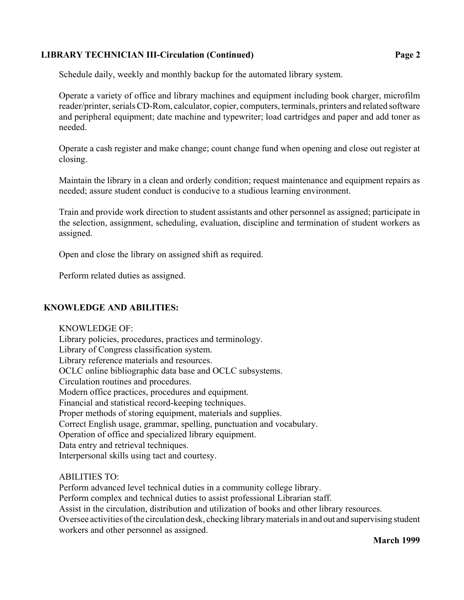## **LIBRARY TECHNICIAN III-Circulation (Continued) Page 2**

Operate a variety of office and library machines and equipment including book charger, microfilm reader/printer, serials CD-Rom, calculator, copier, computers, terminals, printers and related software and peripheral equipment; date machine and typewriter; load cartridges and paper and add toner as needed.

Operate a cash register and make change; count change fund when opening and close out register at closing.

Maintain the library in a clean and orderly condition; request maintenance and equipment repairs as needed; assure student conduct is conducive to a studious learning environment.

Train and provide work direction to student assistants and other personnel as assigned; participate in the selection, assignment, scheduling, evaluation, discipline and termination of student workers as assigned.

Open and close the library on assigned shift as required.

Perform related duties as assigned.

# **KNOWLEDGE AND ABILITIES:**

KNOWLEDGE OF: Library policies, procedures, practices and terminology. Library of Congress classification system. Library reference materials and resources. OCLC online bibliographic data base and OCLC subsystems. Circulation routines and procedures. Modern office practices, procedures and equipment. Financial and statistical record-keeping techniques. Proper methods of storing equipment, materials and supplies. Correct English usage, grammar, spelling, punctuation and vocabulary. Operation of office and specialized library equipment. Data entry and retrieval techniques. Interpersonal skills using tact and courtesy.

# ABILITIES TO:

Perform advanced level technical duties in a community college library. Perform complex and technical duties to assist professional Librarian staff. Assist in the circulation, distribution and utilization of books and other library resources. Oversee activities of the circulation desk, checking library materials in and out and supervising student workers and other personnel as assigned.